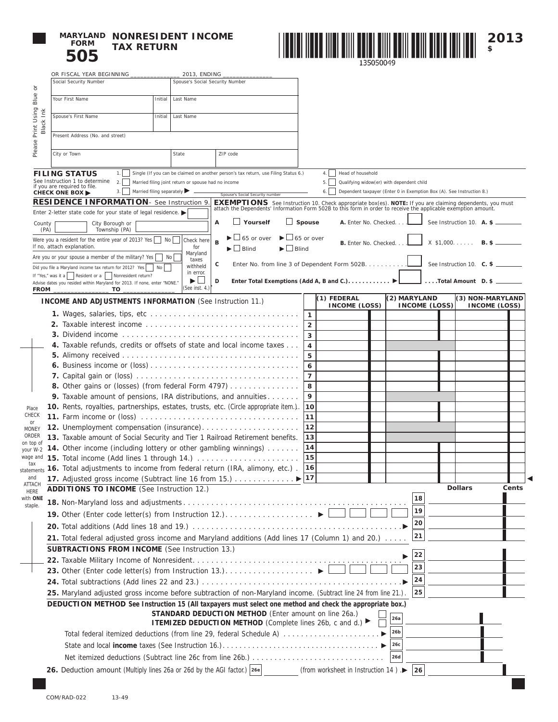

**MARYLAND NONRESIDENT INCOME TAX RETURN**



 $\blacktriangleleft$ 

|                                                                                                                                                                                                                                                       | OR FISCAL YEAR BEGINNING _                                                                                                                                                                                        |                                                                                                                                          | 2013, ENDING                                                                                                                                                                  |                                                                                                                                                                                                                                |               |                     |                                                                                                                                |  |              |                      |  |                                         |                                          |       |
|-------------------------------------------------------------------------------------------------------------------------------------------------------------------------------------------------------------------------------------------------------|-------------------------------------------------------------------------------------------------------------------------------------------------------------------------------------------------------------------|------------------------------------------------------------------------------------------------------------------------------------------|-------------------------------------------------------------------------------------------------------------------------------------------------------------------------------|--------------------------------------------------------------------------------------------------------------------------------------------------------------------------------------------------------------------------------|---------------|---------------------|--------------------------------------------------------------------------------------------------------------------------------|--|--------------|----------------------|--|-----------------------------------------|------------------------------------------|-------|
| ŏ                                                                                                                                                                                                                                                     | Social Security Number                                                                                                                                                                                            |                                                                                                                                          | Spouse's Social Security Number                                                                                                                                               |                                                                                                                                                                                                                                |               |                     |                                                                                                                                |  |              |                      |  |                                         |                                          |       |
| Blue                                                                                                                                                                                                                                                  | Your First Name                                                                                                                                                                                                   | Initial                                                                                                                                  | Last Name                                                                                                                                                                     |                                                                                                                                                                                                                                |               |                     |                                                                                                                                |  |              |                      |  |                                         |                                          |       |
| Print Using I<br>Black Ink                                                                                                                                                                                                                            | Spouse's First Name                                                                                                                                                                                               | Initial                                                                                                                                  | Last Name                                                                                                                                                                     |                                                                                                                                                                                                                                |               |                     |                                                                                                                                |  |              |                      |  |                                         |                                          |       |
|                                                                                                                                                                                                                                                       | Present Address (No. and street)                                                                                                                                                                                  |                                                                                                                                          |                                                                                                                                                                               |                                                                                                                                                                                                                                |               |                     |                                                                                                                                |  |              |                      |  |                                         |                                          |       |
| Please                                                                                                                                                                                                                                                |                                                                                                                                                                                                                   |                                                                                                                                          |                                                                                                                                                                               |                                                                                                                                                                                                                                |               |                     |                                                                                                                                |  |              |                      |  |                                         |                                          |       |
|                                                                                                                                                                                                                                                       | City or Town                                                                                                                                                                                                      | State<br>ZIP code                                                                                                                        |                                                                                                                                                                               |                                                                                                                                                                                                                                |               |                     |                                                                                                                                |  |              |                      |  |                                         |                                          |       |
|                                                                                                                                                                                                                                                       | Single (If you can be claimed on another person's tax return, use Filing Status 6.)<br>1.1 <sub>1</sub><br><b>FILING STATUS</b><br>See Instruction 1 to determine                                                 |                                                                                                                                          |                                                                                                                                                                               |                                                                                                                                                                                                                                |               |                     | Head of household<br>4.1                                                                                                       |  |              |                      |  |                                         |                                          |       |
|                                                                                                                                                                                                                                                       | 2.<br>Married filing joint return or spouse had no income<br>if you are required to file.<br>Married filing separately $\blacktriangleright$ _<br>3.<br><b>CHECK ONE BOX ▶</b><br>Spouse's Social Security number |                                                                                                                                          |                                                                                                                                                                               |                                                                                                                                                                                                                                |               |                     | Qualifying widow(er) with dependent child<br>5.<br>Dependent taxpayer (Enter 0 in Exemption Box (A). See Instruction 8.)<br>6. |  |              |                      |  |                                         |                                          |       |
|                                                                                                                                                                                                                                                       | RESIDENCE INFORMATION- See Instruction 9.                                                                                                                                                                         |                                                                                                                                          |                                                                                                                                                                               |                                                                                                                                                                                                                                |               |                     |                                                                                                                                |  |              |                      |  |                                         |                                          |       |
|                                                                                                                                                                                                                                                       | Enter 2-letter state code for your state of legal residence.                                                                                                                                                      |                                                                                                                                          |                                                                                                                                                                               | <b>EXEMPTIONS</b> See Instruction 10. Check appropriate box(es). NOTE: If you are claiming dependents, you must attach the Dependents' Information Form 502B to this form in order to receive the applicable exemption amount. |               |                     |                                                                                                                                |  |              |                      |  |                                         |                                          |       |
|                                                                                                                                                                                                                                                       | $\Box$ Yourself<br>A<br>City Borough or<br>County<br>Township (PA)<br>(PA)                                                                                                                                        |                                                                                                                                          |                                                                                                                                                                               |                                                                                                                                                                                                                                | $\Box$ Spouse |                     | A. Enter No. Checked                                                                                                           |  |              |                      |  | See Instruction 10. $\overline{A}$ . \$ |                                          |       |
|                                                                                                                                                                                                                                                       | Were you a resident for the entire year of 2013? Yes $\Box$ No $\Box$ Check here<br>If no, attach explanation.                                                                                                    | <sub>R</sub><br>$\blacktriangleright$ $\Box$ Blind                                                                                       | $\blacktriangleright$ $\Box$ 65 or over<br>$\blacktriangleright$ $\sqcup$ 65 or over<br>$X$ \$1,000.<br><b>B.</b> Enter No. Checked.<br>$\blacktriangleright \bigsqcup$ Blind |                                                                                                                                                                                                                                |               |                     |                                                                                                                                |  | $B.$ \$ —    |                      |  |                                         |                                          |       |
|                                                                                                                                                                                                                                                       | Maryland<br>Are you or your spouse a member of the military? Yes $\vert$ No $\vert$<br>taxes                                                                                                                      |                                                                                                                                          |                                                                                                                                                                               |                                                                                                                                                                                                                                |               |                     |                                                                                                                                |  |              |                      |  |                                         |                                          |       |
|                                                                                                                                                                                                                                                       | If "Yes," was it a   Resident or a   Nonresident return?                                                                                                                                                          | c<br>Enter No. from line 3 of Dependent Form 502B. L<br>withheld<br>Did you file a Maryland income tax return for 2012? Yes<br>in error. |                                                                                                                                                                               |                                                                                                                                                                                                                                |               |                     |                                                                                                                                |  |              |                      |  | See Instruction 10. C. \$               |                                          |       |
|                                                                                                                                                                                                                                                       | Advise dates you resided within Maryland for 2013. If none, enter "NONE."                                                                                                                                         |                                                                                                                                          | ▶□<br>(See inst. 4.)                                                                                                                                                          | D                                                                                                                                                                                                                              |               |                     | Enter Total Exemptions (Add A, B and C.). ▶                                                                                    |  |              |                      |  | Total Amount D. \$                      |                                          |       |
|                                                                                                                                                                                                                                                       | <b>INCOME AND ADJUSTMENTS INFORMATION (See Instruction 11.)</b>                                                                                                                                                   |                                                                                                                                          |                                                                                                                                                                               |                                                                                                                                                                                                                                |               |                     | (1) FEDERAL<br><b>INCOME (LOSS)</b>                                                                                            |  | (2) MARYLAND | <b>INCOME (LOSS)</b> |  |                                         | (3) NON-MARYLAND<br><b>INCOME (LOSS)</b> |       |
|                                                                                                                                                                                                                                                       |                                                                                                                                                                                                                   |                                                                                                                                          |                                                                                                                                                                               |                                                                                                                                                                                                                                |               | 1                   |                                                                                                                                |  |              |                      |  |                                         |                                          |       |
|                                                                                                                                                                                                                                                       |                                                                                                                                                                                                                   |                                                                                                                                          |                                                                                                                                                                               |                                                                                                                                                                                                                                |               | $\overline{2}$      |                                                                                                                                |  |              |                      |  |                                         |                                          |       |
|                                                                                                                                                                                                                                                       |                                                                                                                                                                                                                   |                                                                                                                                          |                                                                                                                                                                               |                                                                                                                                                                                                                                |               | 3                   |                                                                                                                                |  |              |                      |  |                                         |                                          |       |
|                                                                                                                                                                                                                                                       | 4. Taxable refunds, credits or offsets of state and local income taxes                                                                                                                                            |                                                                                                                                          |                                                                                                                                                                               |                                                                                                                                                                                                                                |               | 4<br>5              |                                                                                                                                |  |              |                      |  |                                         |                                          |       |
|                                                                                                                                                                                                                                                       |                                                                                                                                                                                                                   |                                                                                                                                          |                                                                                                                                                                               |                                                                                                                                                                                                                                |               |                     |                                                                                                                                |  |              |                      |  |                                         |                                          |       |
|                                                                                                                                                                                                                                                       |                                                                                                                                                                                                                   |                                                                                                                                          |                                                                                                                                                                               |                                                                                                                                                                                                                                |               | 6<br>$\overline{7}$ |                                                                                                                                |  |              |                      |  |                                         |                                          |       |
|                                                                                                                                                                                                                                                       |                                                                                                                                                                                                                   |                                                                                                                                          |                                                                                                                                                                               |                                                                                                                                                                                                                                |               |                     |                                                                                                                                |  |              |                      |  |                                         |                                          |       |
|                                                                                                                                                                                                                                                       | 8. Other gains or (losses) (from federal Form 4797)                                                                                                                                                               |                                                                                                                                          |                                                                                                                                                                               |                                                                                                                                                                                                                                |               |                     |                                                                                                                                |  |              |                      |  |                                         |                                          |       |
|                                                                                                                                                                                                                                                       | 9. Taxable amount of pensions, IRA distributions, and annuities<br>10. Rents, royalties, partnerships, estates, trusts, etc. (Circle appropriate item.).                                                          |                                                                                                                                          |                                                                                                                                                                               |                                                                                                                                                                                                                                |               |                     |                                                                                                                                |  |              |                      |  |                                         |                                          |       |
| Place<br>CHECK                                                                                                                                                                                                                                        |                                                                                                                                                                                                                   |                                                                                                                                          |                                                                                                                                                                               |                                                                                                                                                                                                                                |               | 10<br>11            |                                                                                                                                |  |              |                      |  |                                         |                                          |       |
| or<br><b>MONEY</b>                                                                                                                                                                                                                                    |                                                                                                                                                                                                                   |                                                                                                                                          |                                                                                                                                                                               |                                                                                                                                                                                                                                |               | 12                  |                                                                                                                                |  |              |                      |  |                                         |                                          |       |
| ORDER                                                                                                                                                                                                                                                 | 13. Taxable amount of Social Security and Tier 1 Railroad Retirement benefits.                                                                                                                                    |                                                                                                                                          |                                                                                                                                                                               |                                                                                                                                                                                                                                |               | 13                  |                                                                                                                                |  |              |                      |  |                                         |                                          |       |
| on top of<br>your W-2                                                                                                                                                                                                                                 | 14. Other income (including lottery or other gambling winnings)                                                                                                                                                   |                                                                                                                                          |                                                                                                                                                                               | 14                                                                                                                                                                                                                             |               |                     |                                                                                                                                |  |              |                      |  |                                         |                                          |       |
| wage and                                                                                                                                                                                                                                              |                                                                                                                                                                                                                   |                                                                                                                                          |                                                                                                                                                                               |                                                                                                                                                                                                                                |               |                     |                                                                                                                                |  |              |                      |  |                                         |                                          |       |
| tax                                                                                                                                                                                                                                                   | statements 16. Total adjustments to income from federal return (IRA, alimony, etc.).                                                                                                                              |                                                                                                                                          |                                                                                                                                                                               |                                                                                                                                                                                                                                |               | 16                  |                                                                                                                                |  |              |                      |  |                                         |                                          |       |
| and<br>ATTACH                                                                                                                                                                                                                                         |                                                                                                                                                                                                                   |                                                                                                                                          |                                                                                                                                                                               |                                                                                                                                                                                                                                |               |                     |                                                                                                                                |  |              |                      |  |                                         |                                          |       |
| HERE                                                                                                                                                                                                                                                  | <b>ADDITIONS TO INCOME</b> (See Instruction 12.)                                                                                                                                                                  |                                                                                                                                          |                                                                                                                                                                               |                                                                                                                                                                                                                                |               |                     |                                                                                                                                |  |              |                      |  | <b>Dollars</b>                          |                                          | Cents |
| with ONE<br>staple.                                                                                                                                                                                                                                   |                                                                                                                                                                                                                   |                                                                                                                                          |                                                                                                                                                                               |                                                                                                                                                                                                                                |               |                     |                                                                                                                                |  |              | 18                   |  |                                         |                                          |       |
|                                                                                                                                                                                                                                                       |                                                                                                                                                                                                                   |                                                                                                                                          |                                                                                                                                                                               |                                                                                                                                                                                                                                |               |                     |                                                                                                                                |  |              | 19                   |  |                                         |                                          |       |
|                                                                                                                                                                                                                                                       | 20                                                                                                                                                                                                                |                                                                                                                                          |                                                                                                                                                                               |                                                                                                                                                                                                                                |               |                     |                                                                                                                                |  |              |                      |  |                                         |                                          |       |
|                                                                                                                                                                                                                                                       | 21. Total federal adjusted gross income and Maryland additions (Add lines 17 (Column 1) and 20.)                                                                                                                  |                                                                                                                                          |                                                                                                                                                                               |                                                                                                                                                                                                                                |               | 21                  |                                                                                                                                |  |              |                      |  |                                         |                                          |       |
|                                                                                                                                                                                                                                                       | <b>SUBTRACTIONS FROM INCOME</b> (See Instruction 13.)                                                                                                                                                             |                                                                                                                                          |                                                                                                                                                                               |                                                                                                                                                                                                                                |               |                     | 22                                                                                                                             |  |              |                      |  |                                         |                                          |       |
|                                                                                                                                                                                                                                                       |                                                                                                                                                                                                                   |                                                                                                                                          |                                                                                                                                                                               |                                                                                                                                                                                                                                |               |                     |                                                                                                                                |  |              | 23                   |  |                                         |                                          |       |
|                                                                                                                                                                                                                                                       |                                                                                                                                                                                                                   |                                                                                                                                          |                                                                                                                                                                               |                                                                                                                                                                                                                                |               |                     |                                                                                                                                |  |              |                      |  |                                         |                                          |       |
| 24<br>25. Maryland adjusted gross income before subtraction of non-Maryland income. (Subtract line 24 from line 21.).                                                                                                                                 |                                                                                                                                                                                                                   |                                                                                                                                          |                                                                                                                                                                               |                                                                                                                                                                                                                                |               |                     |                                                                                                                                |  |              |                      |  |                                         |                                          |       |
|                                                                                                                                                                                                                                                       |                                                                                                                                                                                                                   |                                                                                                                                          |                                                                                                                                                                               |                                                                                                                                                                                                                                |               |                     |                                                                                                                                |  |              | 25                   |  |                                         |                                          |       |
| DEDUCTION METHOD See Instruction 15 (All taxpayers must select one method and check the appropriate box.)<br><b>STANDARD DEDUCTION METHOD</b> (Enter amount on line 26a.)<br>26a<br><b>ITEMIZED DEDUCTION METHOD</b> (Complete lines 26b, c and d.) ▶ |                                                                                                                                                                                                                   |                                                                                                                                          |                                                                                                                                                                               |                                                                                                                                                                                                                                |               |                     |                                                                                                                                |  |              |                      |  |                                         |                                          |       |
|                                                                                                                                                                                                                                                       |                                                                                                                                                                                                                   |                                                                                                                                          |                                                                                                                                                                               |                                                                                                                                                                                                                                |               |                     |                                                                                                                                |  |              |                      |  |                                         |                                          |       |
| 26b                                                                                                                                                                                                                                                   |                                                                                                                                                                                                                   |                                                                                                                                          |                                                                                                                                                                               |                                                                                                                                                                                                                                |               |                     |                                                                                                                                |  |              |                      |  |                                         |                                          |       |
|                                                                                                                                                                                                                                                       |                                                                                                                                                                                                                   |                                                                                                                                          |                                                                                                                                                                               |                                                                                                                                                                                                                                |               |                     |                                                                                                                                |  | 26c          |                      |  |                                         |                                          |       |
|                                                                                                                                                                                                                                                       |                                                                                                                                                                                                                   |                                                                                                                                          |                                                                                                                                                                               |                                                                                                                                                                                                                                |               |                     |                                                                                                                                |  | 26d          |                      |  |                                         |                                          |       |
|                                                                                                                                                                                                                                                       | <b>26.</b> Deduction amount (Multiply lines 26a or 26d by the AGI factor.) $ 26e $                                                                                                                                |                                                                                                                                          |                                                                                                                                                                               |                                                                                                                                                                                                                                |               |                     | (from worksheet in Instruction 14) $\triangleright$ 26                                                                         |  |              |                      |  |                                         |                                          |       |
|                                                                                                                                                                                                                                                       |                                                                                                                                                                                                                   |                                                                                                                                          |                                                                                                                                                                               |                                                                                                                                                                                                                                |               |                     |                                                                                                                                |  |              |                      |  |                                         |                                          |       |